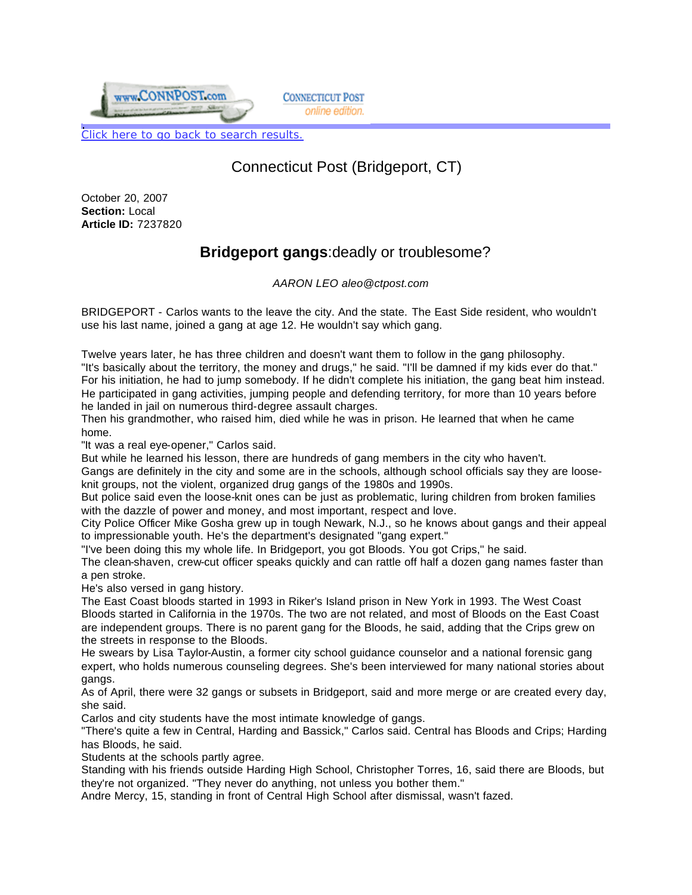

**CONNECTICUT POST** online edition.

Click here to go back to search results.

## Connecticut Post (Bridgeport, CT)

October 20, 2007 **Section:** Local **Article ID:** 7237820

## **Bridgeport gangs**:deadly or troublesome?

 *AARON LEO aleo@ctpost.com*

BRIDGEPORT - Carlos wants to the leave the city. And the state. The East Side resident, who wouldn't use his last name, joined a gang at age 12. He wouldn't say which gang.

Twelve years later, he has three children and doesn't want them to follow in the gang philosophy. "It's basically about the territory, the money and drugs," he said. "I'll be damned if my kids ever do that." For his initiation, he had to jump somebody. If he didn't complete his initiation, the gang beat him instead. He participated in gang activities, jumping people and defending territory, for more than 10 years before he landed in jail on numerous third-degree assault charges.

Then his grandmother, who raised him, died while he was in prison. He learned that when he came home.

"It was a real eye-opener," Carlos said.

But while he learned his lesson, there are hundreds of gang members in the city who haven't.

Gangs are definitely in the city and some are in the schools, although school officials say they are looseknit groups, not the violent, organized drug gangs of the 1980s and 1990s.

But police said even the loose-knit ones can be just as problematic, luring children from broken families with the dazzle of power and money, and most important, respect and love.

City Police Officer Mike Gosha grew up in tough Newark, N.J., so he knows about gangs and their appeal to impressionable youth. He's the department's designated "gang expert."

"I've been doing this my whole life. In Bridgeport, you got Bloods. You got Crips," he said.

The clean-shaven, crew-cut officer speaks quickly and can rattle off half a dozen gang names faster than a pen stroke.

He's also versed in gang history.

The East Coast bloods started in 1993 in Riker's Island prison in New York in 1993. The West Coast Bloods started in California in the 1970s. The two are not related, and most of Bloods on the East Coast are independent groups. There is no parent gang for the Bloods, he said, adding that the Crips grew on the streets in response to the Bloods.

He swears by Lisa Taylor-Austin, a former city school guidance counselor and a national forensic gang expert, who holds numerous counseling degrees. She's been interviewed for many national stories about gangs.

As of April, there were 32 gangs or subsets in Bridgeport, said and more merge or are created every day, she said.

Carlos and city students have the most intimate knowledge of gangs.

"There's quite a few in Central, Harding and Bassick," Carlos said. Central has Bloods and Crips; Harding has Bloods, he said.

Students at the schools partly agree.

Standing with his friends outside Harding High School, Christopher Torres, 16, said there are Bloods, but they're not organized. "They never do anything, not unless you bother them."

Andre Mercy, 15, standing in front of Central High School after dismissal, wasn't fazed.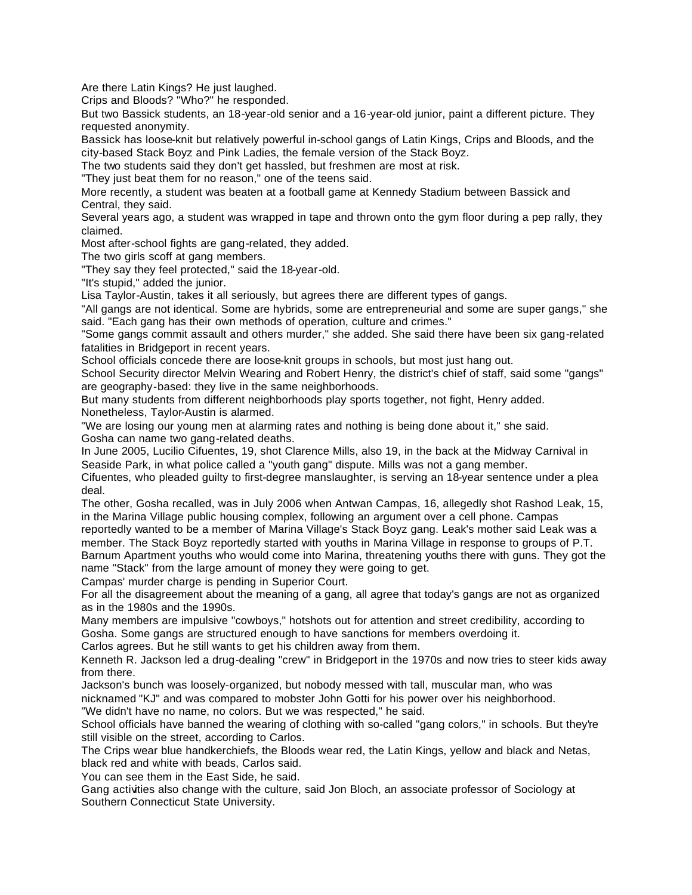Are there Latin Kings? He just laughed.

Crips and Bloods? "Who?" he responded.

But two Bassick students, an 18-year-old senior and a 16-year-old junior, paint a different picture. They requested anonymity.

Bassick has loose-knit but relatively powerful in-school gangs of Latin Kings, Crips and Bloods, and the city-based Stack Boyz and Pink Ladies, the female version of the Stack Boyz.

The two students said they don't get hassled, but freshmen are most at risk.

"They just beat them for no reason," one of the teens said.

More recently, a student was beaten at a football game at Kennedy Stadium between Bassick and Central, they said.

Several years ago, a student was wrapped in tape and thrown onto the gym floor during a pep rally, they claimed.

Most after-school fights are gang-related, they added.

The two girls scoff at gang members.

"They say they feel protected," said the 18-year-old.

"It's stupid," added the junior.

Lisa Taylor-Austin, takes it all seriously, but agrees there are different types of gangs.

"All gangs are not identical. Some are hybrids, some are entrepreneurial and some are super gangs," she said. "Each gang has their own methods of operation, culture and crimes."

"Some gangs commit assault and others murder," she added. She said there have been six gang-related fatalities in Bridgeport in recent years.

School officials concede there are loose-knit groups in schools, but most just hang out.

School Security director Melvin Wearing and Robert Henry, the district's chief of staff, said some "gangs" are geography-based: they live in the same neighborhoods.

But many students from different neighborhoods play sports together, not fight, Henry added. Nonetheless, Taylor-Austin is alarmed.

"We are losing our young men at alarming rates and nothing is being done about it," she said. Gosha can name two gang-related deaths.

In June 2005, Lucilio Cifuentes, 19, shot Clarence Mills, also 19, in the back at the Midway Carnival in Seaside Park, in what police called a "youth gang" dispute. Mills was not a gang member.

Cifuentes, who pleaded guilty to first-degree manslaughter, is serving an 18-year sentence under a plea deal.

The other, Gosha recalled, was in July 2006 when Antwan Campas, 16, allegedly shot Rashod Leak, 15, in the Marina Village public housing complex, following an argument over a cell phone. Campas

reportedly wanted to be a member of Marina Village's Stack Boyz gang. Leak's mother said Leak was a member. The Stack Boyz reportedly started with youths in Marina Village in response to groups of P.T. Barnum Apartment youths who would come into Marina, threatening youths there with guns. They got the name "Stack" from the large amount of money they were going to get.

Campas' murder charge is pending in Superior Court.

For all the disagreement about the meaning of a gang, all agree that today's gangs are not as organized as in the 1980s and the 1990s.

Many members are impulsive "cowboys," hotshots out for attention and street credibility, according to Gosha. Some gangs are structured enough to have sanctions for members overdoing it.

Carlos agrees. But he still wants to get his children away from them.

Kenneth R. Jackson led a drug-dealing "crew" in Bridgeport in the 1970s and now tries to steer kids away from there.

Jackson's bunch was loosely-organized, but nobody messed with tall, muscular man, who was nicknamed "KJ" and was compared to mobster John Gotti for his power over his neighborhood. "We didn't have no name, no colors. But we was respected," he said.

School officials have banned the wearing of clothing with so-called "gang colors," in schools. But they're still visible on the street, according to Carlos.

The Crips wear blue handkerchiefs, the Bloods wear red, the Latin Kings, yellow and black and Netas, black red and white with beads, Carlos said.

You can see them in the East Side, he said.

Gang activities also change with the culture, said Jon Bloch, an associate professor of Sociology at Southern Connecticut State University.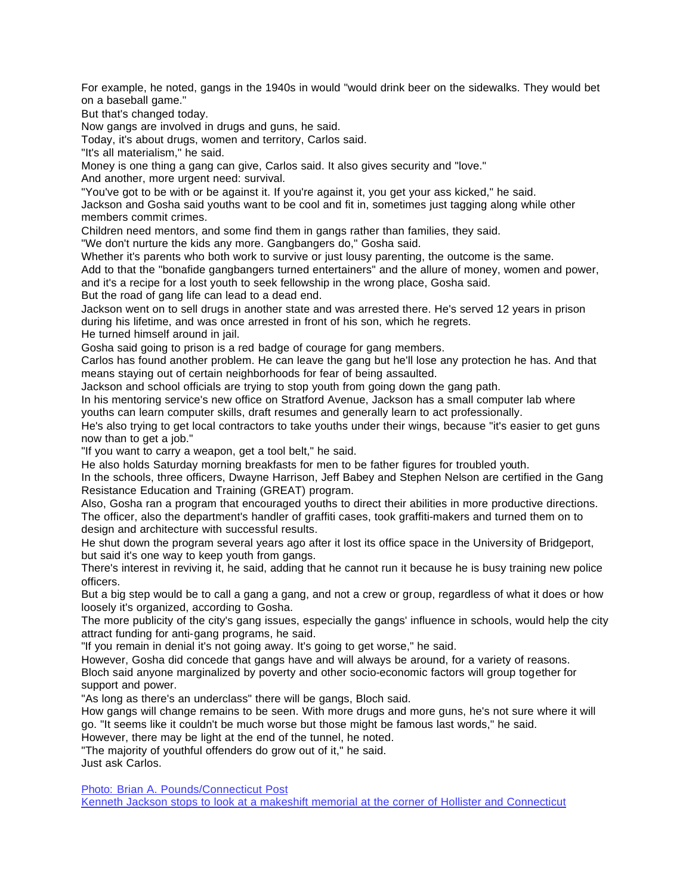For example, he noted, gangs in the 1940s in would "would drink beer on the sidewalks. They would bet on a baseball game."

But that's changed today.

Now gangs are involved in drugs and guns, he said.

Today, it's about drugs, women and territory, Carlos said.

"It's all materialism," he said.

Money is one thing a gang can give, Carlos said. It also gives security and "love."

And another, more urgent need: survival.

"You've got to be with or be against it. If you're against it, you get your ass kicked," he said.

Jackson and Gosha said youths want to be cool and fit in, sometimes just tagging along while other members commit crimes.

Children need mentors, and some find them in gangs rather than families, they said.

"We don't nurture the kids any more. Gangbangers do," Gosha said.

Whether it's parents who both work to survive or just lousy parenting, the outcome is the same.

Add to that the "bonafide gangbangers turned entertainers" and the allure of money, women and power, and it's a recipe for a lost youth to seek fellowship in the wrong place, Gosha said.

But the road of gang life can lead to a dead end.

Jackson went on to sell drugs in another state and was arrested there. He's served 12 years in prison during his lifetime, and was once arrested in front of his son, which he regrets.

He turned himself around in jail.

Gosha said going to prison is a red badge of courage for gang members.

Carlos has found another problem. He can leave the gang but he'll lose any protection he has. And that means staying out of certain neighborhoods for fear of being assaulted.

Jackson and school officials are trying to stop youth from going down the gang path.

In his mentoring service's new office on Stratford Avenue, Jackson has a small computer lab where youths can learn computer skills, draft resumes and generally learn to act professionally.

He's also trying to get local contractors to take youths under their wings, because "it's easier to get guns now than to get a job."

"If you want to carry a weapon, get a tool belt," he said.

He also holds Saturday morning breakfasts for men to be father figures for troubled youth.

In the schools, three officers, Dwayne Harrison, Jeff Babey and Stephen Nelson are certified in the Gang Resistance Education and Training (GREAT) program.

Also, Gosha ran a program that encouraged youths to direct their abilities in more productive directions. The officer, also the department's handler of graffiti cases, took graffiti-makers and turned them on to design and architecture with successful results.

He shut down the program several years ago after it lost its office space in the University of Bridgeport, but said it's one way to keep youth from gangs.

There's interest in reviving it, he said, adding that he cannot run it because he is busy training new police officers.

But a big step would be to call a gang a gang, and not a crew or group, regardless of what it does or how loosely it's organized, according to Gosha.

The more publicity of the city's gang issues, especially the gangs' influence in schools, would help the city attract funding for anti-gang programs, he said.

"If you remain in denial it's not going away. It's going to get worse," he said.

However, Gosha did concede that gangs have and will always be around, for a variety of reasons. Bloch said anyone marginalized by poverty and other socio-economic factors will group together for

support and power.

"As long as there's an underclass" there will be gangs, Bloch said.

How gangs will change remains to be seen. With more drugs and more guns, he's not sure where it will go. "It seems like it couldn't be much worse but those might be famous last words," he said.

However, there may be light at the end of the tunnel, he noted.

"The majority of youthful offenders do grow out of it," he said. Just ask Carlos.

Photo: Brian A. Pounds/Connecticut Post

Kenneth Jackson stops to look at a makeshift memorial at the corner of Hollister and Connecticut